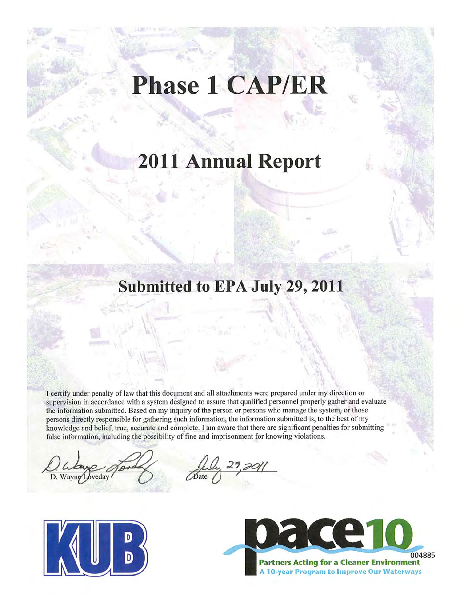# **Phase 1 CAP/ER**

## **2011 Annual Report**

### **Submitted to EPA July 29, 2011**

I certify under penalty of law that this document and all attachments were prepared under my direction or supervision in accordance with a system designed to assure that qualified personnel properly gather and evaluate the information submitted. Based on my inquiry of the person or persons who manage the system, or those persons directly responsible for gathering such information, the information submitted is, to the best of my knowledge and belief, true, accurate and complete. I am aware that there are significant penalties for submitting false information, including the possibility of fine and imprisonment for knowing violations.

D. Wayne



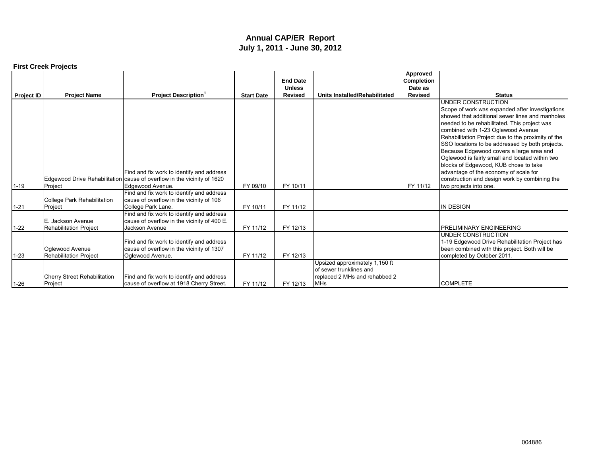#### **Annual CAP/ER Report July 1, 2011 - June 30, 2012**

|                   | <b>First Creek Projects</b>                        |                                                                                                             |                   |                                                    |                                                                                                          |                                                            |                                                                                                                                                                                                                                                                                                                                                                                                                                           |
|-------------------|----------------------------------------------------|-------------------------------------------------------------------------------------------------------------|-------------------|----------------------------------------------------|----------------------------------------------------------------------------------------------------------|------------------------------------------------------------|-------------------------------------------------------------------------------------------------------------------------------------------------------------------------------------------------------------------------------------------------------------------------------------------------------------------------------------------------------------------------------------------------------------------------------------------|
| <b>Project ID</b> | <b>Project Name</b>                                | <b>Project Description</b>                                                                                  | <b>Start Date</b> | <b>End Date</b><br><b>Unless</b><br><b>Revised</b> | Units Installed/Rehabilitated                                                                            | Approved<br><b>Completion</b><br>Date as<br><b>Revised</b> | <b>Status</b>                                                                                                                                                                                                                                                                                                                                                                                                                             |
|                   |                                                    |                                                                                                             |                   |                                                    |                                                                                                          |                                                            | UNDER CONSTRUCTION                                                                                                                                                                                                                                                                                                                                                                                                                        |
|                   |                                                    |                                                                                                             |                   |                                                    |                                                                                                          |                                                            | Scope of work was expanded after investigations<br>showed that additional sewer lines and manholes<br>needed to be rehabilitated. This project was<br>combined with 1-23 Oglewood Avenue<br>Rehabilitation Project due to the proximity of the<br>SSO locations to be addressed by both projects.<br>Because Edgewood covers a large area and<br>Oglewood is fairly small and located within two<br>blocks of Edgewood, KUB chose to take |
|                   |                                                    | Find and fix work to identify and address                                                                   |                   |                                                    |                                                                                                          |                                                            | advantage of the economy of scale for                                                                                                                                                                                                                                                                                                                                                                                                     |
| $1 - 19$          | Project                                            | Edgewood Drive Rehabilitation cause of overflow in the vicinity of 1620<br>Edgewood Avenue.                 | FY 09/10          | FY 10/11                                           |                                                                                                          | FY 11/12                                                   | construction and design work by combining the<br>two projects into one.                                                                                                                                                                                                                                                                                                                                                                   |
| $1 - 21$          | College Park Rehabilitation<br>Project             | Find and fix work to identify and address<br>cause of overflow in the vicinity of 106<br>College Park Lane. | FY 10/11          | FY 11/12                                           |                                                                                                          |                                                            | <b>IN DESIGN</b>                                                                                                                                                                                                                                                                                                                                                                                                                          |
| $1 - 22$          | E. Jackson Avenue<br><b>Rehabilitation Project</b> | Find and fix work to identify and address<br>cause of overflow in the vicinity of 400 E.<br>Jackson Avenue  | FY 11/12          | FY 12/13                                           |                                                                                                          |                                                            | <b>PRELIMINARY ENGINEERING</b>                                                                                                                                                                                                                                                                                                                                                                                                            |
| $1 - 23$          | Oglewood Avenue<br>Rehabilitation Project          | Find and fix work to identify and address<br>cause of overflow in the vicinity of 1307<br>Oglewood Avenue.  | FY 11/12          | FY 12/13                                           |                                                                                                          |                                                            | UNDER CONSTRUCTION<br>1-19 Edgewood Drive Rehabilitation Project has<br>been combined with this project. Both will be<br>completed by October 2011.                                                                                                                                                                                                                                                                                       |
| $1 - 26$          | <b>Cherry Street Rehabilitation</b><br>Project     | Find and fix work to identify and address<br>cause of overflow at 1918 Cherry Street.                       | FY 11/12          | FY 12/13                                           | Upsized approximately 1,150 ft<br>of sewer trunklines and<br>replaced 2 MHs and rehabbed 2<br><b>MHs</b> |                                                            | <b>COMPLETE</b>                                                                                                                                                                                                                                                                                                                                                                                                                           |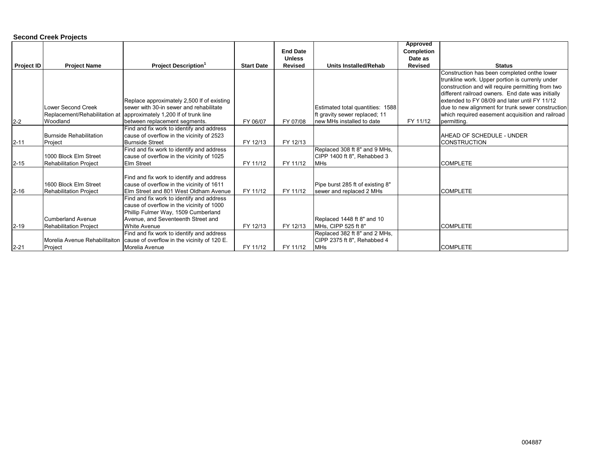#### **Second Creek Projects**

|                   |                               |                                                                                        |                   |                 |                                                              | Approved       |                                                                                                    |
|-------------------|-------------------------------|----------------------------------------------------------------------------------------|-------------------|-----------------|--------------------------------------------------------------|----------------|----------------------------------------------------------------------------------------------------|
|                   |                               |                                                                                        |                   | <b>End Date</b> |                                                              | Completion     |                                                                                                    |
|                   |                               |                                                                                        |                   | <b>Unless</b>   |                                                              | Date as        |                                                                                                    |
| <b>Project ID</b> | <b>Project Name</b>           | <b>Project Description<sup>1</sup></b>                                                 | <b>Start Date</b> | <b>Revised</b>  | <b>Units Installed/Rehab</b>                                 | <b>Revised</b> | <b>Status</b>                                                                                      |
|                   |                               |                                                                                        |                   |                 |                                                              |                | Construction has been completed onthe lower                                                        |
|                   |                               |                                                                                        |                   |                 |                                                              |                | trunkline work. Upper portion is currenly under                                                    |
|                   |                               |                                                                                        |                   |                 |                                                              |                | construction and will require permitting from two                                                  |
|                   |                               | Replace approximately 2,500 If of existing                                             |                   |                 |                                                              |                | different railroad owners. End date was initially<br>extended to FY 08/09 and later until FY 11/12 |
|                   | Lower Second Creek            | sewer with 30-in sewer and rehabilitate                                                |                   |                 | Estimated total quantities: 1588                             |                | due to new alignment for trunk sewer construction                                                  |
|                   |                               | Replacement/Rehabilitation at approximately 1,200 If of trunk line                     |                   |                 | Ift gravity sewer replaced; 11                               |                | which required easement acquisition and railroad                                                   |
| $2 - 2$           | Woodland                      | between replacement segments.                                                          | FY 06/07          | FY 07/08        | new MHs installed to date                                    | FY 11/12       | permitting.                                                                                        |
|                   |                               | Find and fix work to identify and address                                              |                   |                 |                                                              |                |                                                                                                    |
|                   | Burnside Rehabilitation       | cause of overflow in the vicinity of 2523                                              |                   |                 |                                                              |                | AHEAD OF SCHEDULE - UNDER                                                                          |
| $2 - 11$          | Project                       | <b>Burnside Street</b>                                                                 | FY 12/13          | FY 12/13        |                                                              |                | <b>CONSTRUCTION</b>                                                                                |
|                   |                               | Find and fix work to identify and address                                              |                   |                 | Replaced 308 ft 8" and 9 MHs,                                |                |                                                                                                    |
|                   | 1000 Block Elm Street         | cause of overflow in the vicinity of 1025                                              |                   |                 | CIPP 1400 ft 8", Rehabbed 3                                  |                |                                                                                                    |
| $2 - 15$          | <b>Rehabilitation Project</b> | <b>Elm Street</b>                                                                      | FY 11/12          | FY 11/12        | <b>MHs</b>                                                   |                | <b>COMPLETE</b>                                                                                    |
|                   |                               |                                                                                        |                   |                 |                                                              |                |                                                                                                    |
|                   | 1600 Block Elm Street         | Find and fix work to identify and address<br>cause of overflow in the vicinity of 1611 |                   |                 |                                                              |                |                                                                                                    |
| $2 - 16$          | <b>Rehabilitation Project</b> | Elm Street and 801 West Oldham Avenue                                                  | FY 11/12          | FY 11/12        | Pipe burst 285 ft of existing 8"<br>sewer and replaced 2 MHs |                | <b>COMPLETE</b>                                                                                    |
|                   |                               | Find and fix work to identify and address                                              |                   |                 |                                                              |                |                                                                                                    |
|                   |                               | cause of overflow in the vicinity of 1000                                              |                   |                 |                                                              |                |                                                                                                    |
|                   |                               | Phillip Fulmer Way, 1509 Cumberland                                                    |                   |                 |                                                              |                |                                                                                                    |
|                   | Cumberland Avenue             | Avenue, and Seventeenth Street and                                                     |                   |                 | Replaced 1448 ft 8" and 10                                   |                |                                                                                                    |
| $2 - 19$          | <b>Rehabilitation Project</b> | <b>White Avenue</b>                                                                    | FY 12/13          | FY 12/13        | MHs, CIPP 525 ft 8"                                          |                | <b>COMPLETE</b>                                                                                    |
|                   |                               | Find and fix work to identify and address                                              |                   |                 | Replaced 382 ft 8" and 2 MHs,                                |                |                                                                                                    |
|                   | Morelia Avenue Rehabilitaiton | cause of overflow in the vicinity of 120 E.                                            |                   |                 | CIPP 2375 ft 8", Rehabbed 4                                  |                |                                                                                                    |
| $2 - 21$          | Project                       | Morelia Avenue                                                                         | FY 11/12          | FY 11/12        | <b>MHs</b>                                                   |                | <b>COMPLETE</b>                                                                                    |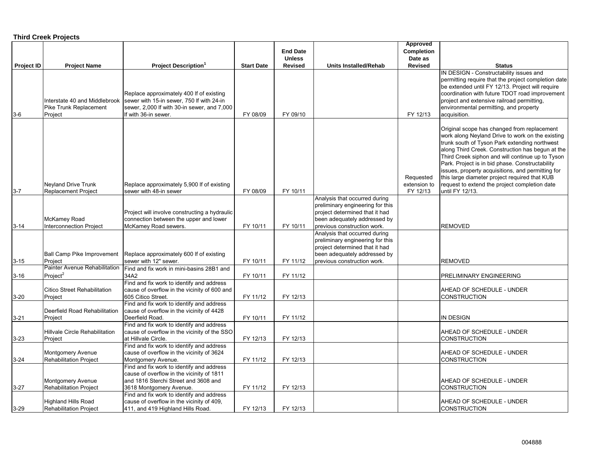#### **Third Creek Projects**

|                   |                                                         |                                                                                           |                   | <b>End Date</b> |                                                                    | Approved<br>Completion |                                                                                                      |
|-------------------|---------------------------------------------------------|-------------------------------------------------------------------------------------------|-------------------|-----------------|--------------------------------------------------------------------|------------------------|------------------------------------------------------------------------------------------------------|
|                   |                                                         |                                                                                           |                   | <b>Unless</b>   |                                                                    | Date as                |                                                                                                      |
| <b>Project ID</b> | <b>Project Name</b>                                     | <b>Project Description</b> <sup>1</sup>                                                   | <b>Start Date</b> | Revised         | <b>Units Installed/Rehab</b>                                       | <b>Revised</b>         | <b>Status</b>                                                                                        |
|                   |                                                         |                                                                                           |                   |                 |                                                                    |                        | IN DESIGN - Constructability issues and                                                              |
|                   |                                                         |                                                                                           |                   |                 |                                                                    |                        | permitting require that the project completion date                                                  |
|                   |                                                         |                                                                                           |                   |                 |                                                                    |                        | be extended until FY 12/13. Project will require                                                     |
|                   |                                                         | Replace approximately 400 If of existing                                                  |                   |                 |                                                                    |                        | coordination with future TDOT road improvement                                                       |
|                   | Interstate 40 and Middlebrook<br>Pike Trunk Replacement | sewer with 15-in sewer, 750 If with 24-in<br>sewer, 2,000 If with 30-in sewer, and 7,000  |                   |                 |                                                                    |                        | project and extensive railroad permitting,<br>environmental permitting, and property                 |
| $3-6$             | Project                                                 | If with 36-in sewer.                                                                      | FY 08/09          | FY 09/10        |                                                                    | FY 12/13               | acquisition.                                                                                         |
|                   |                                                         |                                                                                           |                   |                 |                                                                    |                        |                                                                                                      |
|                   |                                                         |                                                                                           |                   |                 |                                                                    |                        | Original scope has changed from replacement                                                          |
|                   |                                                         |                                                                                           |                   |                 |                                                                    |                        | work along Neyland Drive to work on the existing                                                     |
|                   |                                                         |                                                                                           |                   |                 |                                                                    |                        | trunk south of Tyson Park extending northwest                                                        |
|                   |                                                         |                                                                                           |                   |                 |                                                                    |                        | along Third Creek. Construction has begun at the<br>Third Creek siphon and will continue up to Tyson |
|                   |                                                         |                                                                                           |                   |                 |                                                                    |                        | Park. Project is in bid phase. Constructability                                                      |
|                   |                                                         |                                                                                           |                   |                 |                                                                    |                        | issues, property acquisitions, and permitting for                                                    |
|                   |                                                         |                                                                                           |                   |                 |                                                                    | Requested              | this large diameter project required that KUB                                                        |
|                   | <b>Neyland Drive Trunk</b>                              | Replace approximately 5,900 If of existing                                                |                   |                 |                                                                    | extension to           | request to extend the project completion date                                                        |
| $3 - 7$           | <b>Replacement Project</b>                              | sewer with 48-in sewer                                                                    | FY 08/09          | FY 10/11        |                                                                    | FY 12/13               | until FY 12/13.                                                                                      |
|                   |                                                         |                                                                                           |                   |                 | Analysis that occurred during                                      |                        |                                                                                                      |
|                   |                                                         | Project will involve constructing a hydraulic                                             |                   |                 | preliminary engineering for this<br>project determined that it had |                        |                                                                                                      |
|                   | McKamey Road                                            | connection between the upper and lower                                                    |                   |                 | been adequately addressed by                                       |                        |                                                                                                      |
| $3 - 14$          | <b>Interconnection Project</b>                          | McKamey Road sewers.                                                                      | FY 10/11          | FY 10/11        | previous construction work.                                        |                        | <b>REMOVED</b>                                                                                       |
|                   |                                                         |                                                                                           |                   |                 | Analysis that occurred during                                      |                        |                                                                                                      |
|                   |                                                         |                                                                                           |                   |                 | preliminary engineering for this                                   |                        |                                                                                                      |
|                   |                                                         |                                                                                           |                   |                 | project determined that it had                                     |                        |                                                                                                      |
|                   | Ball Camp Pike Improvement                              | Replace approximately 600 If of existing                                                  |                   |                 | been adequately addressed by                                       |                        |                                                                                                      |
| $3 - 15$          | Project<br>Painter Avenue Rehabilitation                | sewer with 12" sewer.                                                                     | FY 10/11          | FY 11/12        | previous construction work.                                        |                        | <b>REMOVED</b>                                                                                       |
| $3 - 16$          | Project <sup>2</sup>                                    | Find and fix work in mini-basins 28B1 and<br>34A2                                         | FY 10/11          | FY 11/12        |                                                                    |                        | PRELIMINARY ENGINEERING                                                                              |
|                   |                                                         | Find and fix work to identify and address                                                 |                   |                 |                                                                    |                        |                                                                                                      |
|                   | <b>Citico Street Rehabilitation</b>                     | cause of overflow in the vicinity of 600 and                                              |                   |                 |                                                                    |                        | AHEAD OF SCHEDULE - UNDER                                                                            |
| $3 - 20$          | Project                                                 | 605 Citico Street.                                                                        | FY 11/12          | FY 12/13        |                                                                    |                        | CONSTRUCTION                                                                                         |
|                   |                                                         | Find and fix work to identify and address                                                 |                   |                 |                                                                    |                        |                                                                                                      |
|                   | Deerfield Road Rehabilitation                           | cause of overflow in the vicinity of 4428                                                 |                   |                 |                                                                    |                        |                                                                                                      |
| $3 - 21$          | Project                                                 | Deerfield Road.                                                                           | FY 10/11          | FY 11/12        |                                                                    |                        | IN DESIGN                                                                                            |
|                   | <b>Hillvale Circle Rehabilitation</b>                   | Find and fix work to identify and address<br>cause of overflow in the vicinity of the SSO |                   |                 |                                                                    |                        | AHEAD OF SCHEDULE - UNDER                                                                            |
| $3 - 23$          | Project                                                 | at Hillvale Circle.                                                                       | FY 12/13          | FY 12/13        |                                                                    |                        | CONSTRUCTION                                                                                         |
|                   |                                                         | Find and fix work to identify and address                                                 |                   |                 |                                                                    |                        |                                                                                                      |
|                   | Montgomery Avenue                                       | cause of overflow in the vicinity of 3624                                                 |                   |                 |                                                                    |                        | AHEAD OF SCHEDULE - UNDER                                                                            |
| $3 - 24$          | <b>Rehabilitation Project</b>                           | Montgomery Avenue.                                                                        | FY 11/12          | FY 12/13        |                                                                    |                        | <b>CONSTRUCTION</b>                                                                                  |
|                   |                                                         | Find and fix work to identify and address                                                 |                   |                 |                                                                    |                        |                                                                                                      |
|                   |                                                         | cause of overflow in the vicinity of 1811                                                 |                   |                 |                                                                    |                        |                                                                                                      |
|                   | Montgomery Avenue                                       | and 1816 Sterchi Street and 3608 and                                                      |                   |                 |                                                                    |                        | AHEAD OF SCHEDULE - UNDER                                                                            |
| $3 - 27$          | <b>Rehabilitation Project</b>                           | 3618 Montgomery Avenue.                                                                   | FY 11/12          | FY 12/13        |                                                                    |                        | CONSTRUCTION                                                                                         |
|                   | <b>Highland Hills Road</b>                              | Find and fix work to identify and address<br>cause of overflow in the vicinity of 409,    |                   |                 |                                                                    |                        | AHEAD OF SCHEDULE - UNDER                                                                            |
| $3 - 29$          | Rehabilitation Project                                  | 411, and 419 Highland Hills Road.                                                         | FY 12/13          | FY 12/13        |                                                                    |                        | <b>CONSTRUCTION</b>                                                                                  |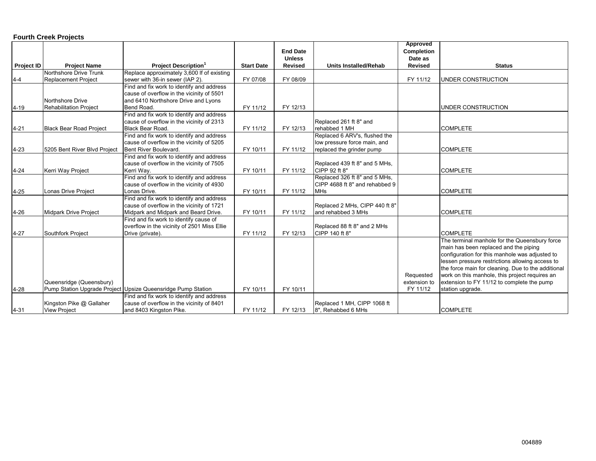#### **Fourth Creek Projects**

|            |                                |                                                              |                   |                 |                                | Approved       |                                                    |
|------------|--------------------------------|--------------------------------------------------------------|-------------------|-----------------|--------------------------------|----------------|----------------------------------------------------|
|            |                                |                                                              |                   | <b>End Date</b> |                                | Completion     |                                                    |
|            |                                |                                                              |                   | <b>Unless</b>   |                                | Date as        |                                                    |
| Project ID | <b>Project Name</b>            | <b>Project Description</b> <sup>1</sup>                      | <b>Start Date</b> | <b>Revised</b>  | <b>Units Installed/Rehab</b>   | <b>Revised</b> | <b>Status</b>                                      |
|            | Northshore Drive Trunk         | Replace approximately 3,600 If of existing                   |                   |                 |                                |                |                                                    |
| $4-4$      | <b>Replacement Project</b>     | sewer with 36-in sewer (IAP 2).                              | FY 07/08          | FY 08/09        |                                | FY 11/12       | UNDER CONSTRUCTION                                 |
|            |                                | Find and fix work to identify and address                    |                   |                 |                                |                |                                                    |
|            |                                | cause of overflow in the vicinity of 5501                    |                   |                 |                                |                |                                                    |
|            | Northshore Drive               | and 6410 Northshore Drive and Lyons                          |                   |                 |                                |                |                                                    |
| $4 - 19$   | <b>Rehabilitation Project</b>  | Bend Road.                                                   | FY 11/12          | FY 12/13        |                                |                | UNDER CONSTRUCTION                                 |
|            |                                | Find and fix work to identify and address                    |                   |                 |                                |                |                                                    |
|            |                                | cause of overflow in the vicinity of 2313                    |                   |                 | Replaced 261 ft 8" and         |                |                                                    |
| $4 - 21$   | <b>Black Bear Road Project</b> | Black Bear Road.                                             | FY 11/12          | FY 12/13        | rehabbed 1 MH                  |                | <b>COMPLETE</b>                                    |
|            |                                | Find and fix work to identify and address                    |                   |                 | Replaced 6 ARV's, flushed the  |                |                                                    |
|            |                                | cause of overflow in the vicinity of 5205                    |                   |                 | low pressure force main, and   |                |                                                    |
| $4 - 23$   | 5205 Bent River Blvd Project   | Bent River Boulevard.                                        | FY 10/11          | FY 11/12        | replaced the grinder pump      |                | <b>COMPLETE</b>                                    |
|            |                                | Find and fix work to identify and address                    |                   |                 |                                |                |                                                    |
|            |                                | cause of overflow in the vicinity of 7505                    |                   |                 | Replaced 439 ft 8" and 5 MHs,  |                |                                                    |
| $4 - 24$   | Kerri Way Project              | Kerri Way.                                                   | FY 10/11          | FY 11/12        | CIPP 92 ft 8"                  |                | <b>COMPLETE</b>                                    |
|            |                                | Find and fix work to identify and address                    |                   |                 | Replaced 326 ft 8" and 5 MHs,  |                |                                                    |
|            |                                | cause of overflow in the vicinity of 4930                    |                   |                 | CIPP 4688 ft 8" and rehabbed 9 |                |                                                    |
| $4 - 25$   | Lonas Drive Project            | Lonas Drive.                                                 | FY 10/11          | FY 11/12        | <b>MHs</b>                     |                | <b>COMPLETE</b>                                    |
|            |                                | Find and fix work to identify and address                    |                   |                 |                                |                |                                                    |
|            |                                | cause of overflow in the vicinity of 1721                    |                   |                 | Replaced 2 MHs, CIPP 440 ft 8" |                |                                                    |
| $4 - 26$   | <b>Midpark Drive Project</b>   | Midpark and Midpark and Beard Drive.                         | FY 10/11          | FY 11/12        | and rehabbed 3 MHs             |                | <b>COMPLETE</b>                                    |
|            |                                | Find and fix work to identify cause of                       |                   |                 |                                |                |                                                    |
|            |                                | overflow in the vicinity of 2501 Miss Ellie                  |                   |                 | Replaced 88 ft 8" and 2 MHs    |                |                                                    |
| $4 - 27$   | <b>Southfork Project</b>       | Drive (private).                                             | FY 11/12          | FY 12/13        | CIPP 140 ft 8"                 |                | <b>COMPLETE</b>                                    |
|            |                                |                                                              |                   |                 |                                |                | The terminal manhole for the Queensbury force      |
|            |                                |                                                              |                   |                 |                                |                | main has been replaced and the piping              |
|            |                                |                                                              |                   |                 |                                |                | configuration for this manhole was adjusted to     |
|            |                                |                                                              |                   |                 |                                |                | lessen pressure restrictions allowing access to    |
|            |                                |                                                              |                   |                 |                                |                | the force main for cleaning. Due to the additional |
|            |                                |                                                              |                   |                 |                                | Requested      | work on this manhole, this project requires an     |
|            | Queensridge (Queensbury)       |                                                              |                   |                 |                                | extension to   | extension to FY 11/12 to complete the pump         |
| $4 - 28$   |                                | Pump Station Upgrade Project Upsize Queensridge Pump Station | FY 10/11          | FY 10/11        |                                | FY 11/12       | station upgrade.                                   |
|            |                                | Find and fix work to identify and address                    |                   |                 |                                |                |                                                    |
|            | Kingston Pike @ Gallaher       | cause of overflow in the vicinity of 8401                    |                   |                 | Replaced 1 MH, CIPP 1068 ft    |                |                                                    |
| $4 - 31$   | <b>View Project</b>            | and 8403 Kingston Pike.                                      | FY 11/12          | FY 12/13        | 8", Rehabbed 6 MHs             |                | <b>COMPLETE</b>                                    |